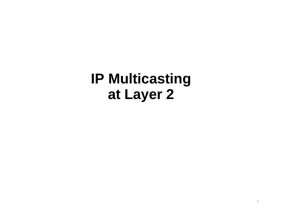# **IP Multicastingat Layer 2**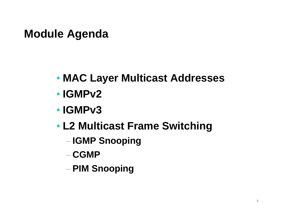#### **Module Agenda**

- **MAC Layer Multicast Addresses**
- **IGMPv2**
- **IGMPv3**
- **L2 Multicast Frame Switching**
	- **IGMP Snooping**
	- $-CGMP$
	- –**PIM Snooping**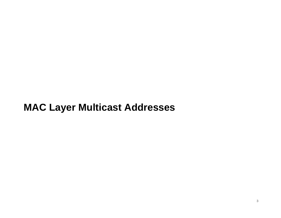#### **MAC Layer Multicast Addresses**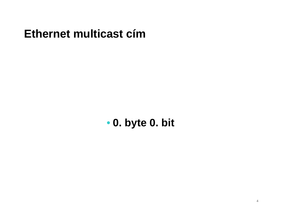#### **Ethernet multicast cím**

• **0. byte 0. bit**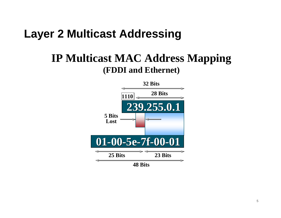#### **IP Multicast MAC Address Mapping(FDDI and Ethernet)**

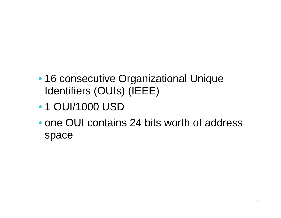- 16 consecutive Organizational Unique Identifiers (OUIs) (IEEE)
- 1 OUI/1000 USD
- one OUI contains 24 bits worth of address space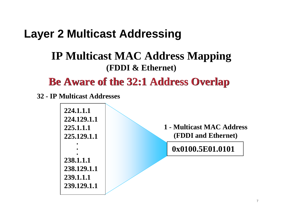#### **IP Multicast MAC Address Mapping(FDDI & Ethernet)**

**Be Aware of the 32:1 Address Overlap**

**32 - IP Multicast Addresses**

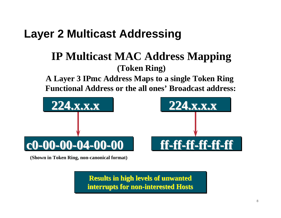#### **IP Multicast MAC Address Mapping(Token Ring)**

**A Layer 3 IPmc Address Maps to a single Token Ring Functional Address or the all ones' Broadcast address:**



**(Shown in Token Ring, non-canonical format)**

**Results in high levels of unwantedinterrupts for non-interested Hosts**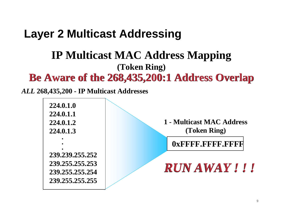#### **Be Aware of the 268,435,200:1 Address OverlapIP Multicast MAC Address Mapping(Token Ring)**

*ALL* **268,435,200 - IP Multicast Addresses**

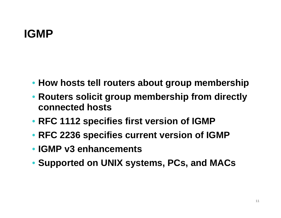## **IGMP**

- **How hosts tell routers about group membership**
- **Routers solicit group membership from directly connected hosts**
- **RFC 1112 specifies first version of IGMP**
- **RFC 2236 specifies current version of IGMP**
- **IGMP v3 enhancements**
- **Supported on UNIX systems, PCs, and MACs**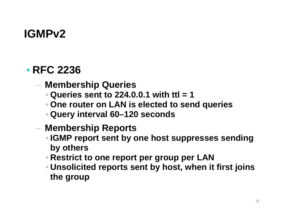## • **RFC 2236**

- **Membership Queries**
	- **Queries sent to 224.0.0.1 with ttl = 1**
	- **One router on LAN is elected to send queries**
	- **Query interval 60–120 seconds**
- **Membership Reports**
	- **IGMP report sent by one host suppresses sending by others**
	- **Restrict to one report per group per LAN**
	- **Unsolicited reports sent by host, when it first joins the group**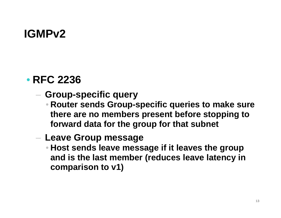#### • **RFC 2236**

- **Group-specific query**
	- **Router sends Group-specific queries to make sure there are no members present before stopping to forward data for the group for that subnet**
- **Leave Group message**
	- **Host sends leave message if it leaves the group and is the last member (reduces leave latency in comparison to v1)**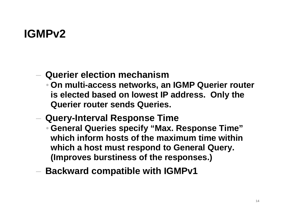- **Querier election mechanism**
	- **On multi-access networks, an IGMP Querier router is elected based on lowest IP address. Only the Querier router sends Queries.**
- **Query-Interval Response Time**
	- **General Queries specify "Max. Response Time" which inform hosts of the maximum time within which a host must respond to General Query. (Improves burstiness of the responses.)**
- $-$  Backward compatible with IGMPv1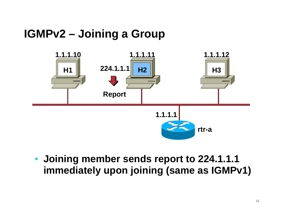## **IGMPv2 – Joining a Group**



• **Joining member sends report to 224.1.1.1 immediately upon joining (same as IGMPv1)**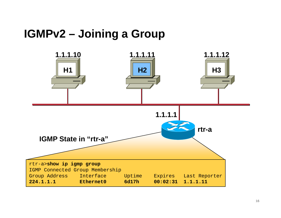### **IGMPv2 – Joining a Group**

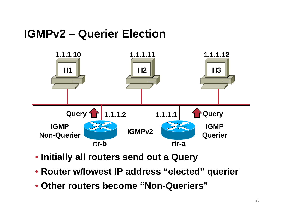## **IGMPv2 – Querier Election**



- **Initially all routers send out a Query**
- **Router w/lowest IP address "elected" querier**
- **Other routers become "Non-Queriers"**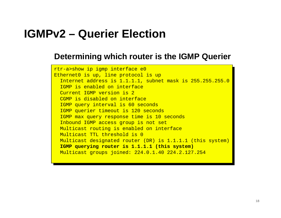#### **IGMPv2 – Querier Election**

#### **Determining which router is the IGMP Querier**

rtr-a>show ip igmp interface e0 Ethernet0 is up, line protocol is up Ethernet0 is up, line protocol is up Internet address is 1.1.1.1, subnet mask is 255.255.255.0 Internet address is 1.1.1.1, subnet mask is 255.255.255.0IGMP is enabled on interface Current IGMP version is 2 CGMP is disabled on interface CGMP is disabled on interface IGMP query interval is 60 seconds IGMP query interval is 60 seconds IGMP querier timeout is 120 seconds IGMP querier timeout is 120 seconds IGMP max query response time is 10 seconds IGMP max query response time is 10 secondsInbound IGMP access group is not set Multicast routing is enabled on interface Multicast routing is enabled on interfaceMulticast TTL threshold is 0 Multicast designated router (DR) is 1.1.1.1 (this system) Multicast designated router (DR) is 1.1.1.1 (this system)**IGMP querying router is 1.1.1.1 (this system)IGMP querying router is 1.1.1.1 (this system)** Multicast groups joined: 224.0.1.40 224.2.127.254 Multicast groups joined: 224.0.1.40 224.2.127.254rtr-a>show ip igmp interface e0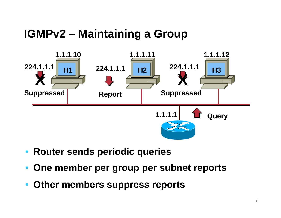#### **IGMPv2 – Maintaining a Group**



- **Router sends periodic queries**
- **One member per group per subnet reports**
- **Other members suppress reports**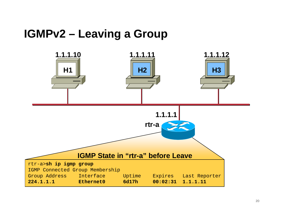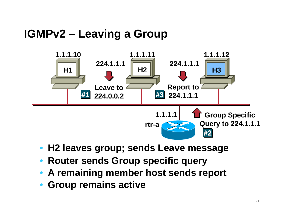

- **H2 leaves group; sends Leave message**
- **Router sends Group specific query**
- **A remaining member host sends report**
- **Group remains active**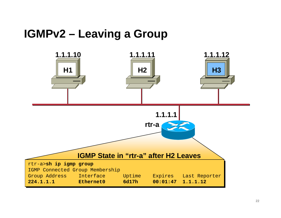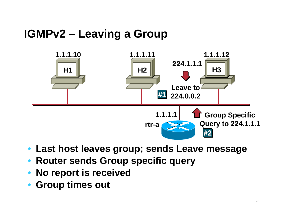

- **Last host leaves group; sends Leave message**
- **Router sends Group specific query**
- **No report is received**
- **Group times out**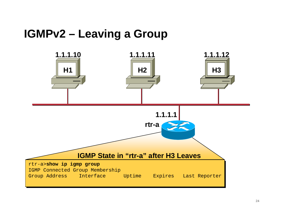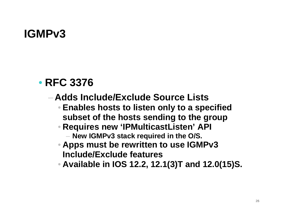#### • **RFC 3376**

- **Adds Include/Exclude Source Lists**
	- **Enables hosts to listen only to a specifiedsubset of the hosts sending to the group**
	- **Requires new 'IPMulticastListen' API**
		- **New IGMPv3 stack required in the O/S.**
	- **Apps must be rewritten to use IGMPv3 Include/Exclude features**
	- **Available in IOS 12.2, 12.1(3)T and 12.0(15)S.**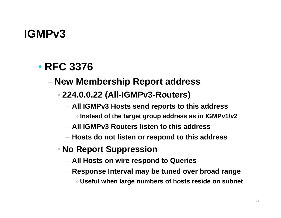## • **RFC 3376**

## **New Membership Report address**

#### • **224.0.0.22 (All-IGMPv3-Routers)**

- **All IGMPv3 Hosts send reports to this address**
	- »**Instead of the target group address as in IGMPv1/v2**
- **All IGMPv3 Routers listen to this address**
- **Hosts do not listen or respond to this address**
- **No Report Suppression**
	- **All Hosts on wire respond to Queries**
	- **Response Interval may be tuned over broad range**
		- »**Useful when large numbers of hosts reside on subnet**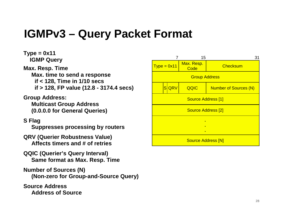#### **IGMPv3 – Query Packet Format**

**Type = 0x11 IGMP Query Max. Resp. Time Max. time to send a responseif < 128, Time in 1/10 secsif > 128, FP value (12.8 - 3174.4 secs)**

**Group Address: Multicast Group Address(0.0.0.0 for General Queries)**

#### **S Flag**

**Suppresses processing by routers**

- **QRV (Querier Robustness Value)Affects timers and # of retries**
- **QQIC (Querier's Query Interval)Same format as Max. Resp. Time**
- **Number of Sources (N)(Non-zero for Group-and-Source Query)**

**Source AddressAddress of Source** 

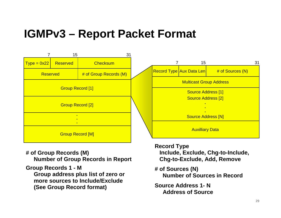#### **IGMPv3 – Report Packet Format**



**# of Group Records (M)Number of Group Records in Report**

**Group Records 1 - M**

 **Group address plus list of zero or more sources to Include/Exclude(See Group Record format)**

**Record Type Include, Exclude, Chg-to-Include, Chg-to-Exclude, Add, Remove**

**# of Sources (N)Number of Sources in Record**

**Source Address 1- NAddress of Source**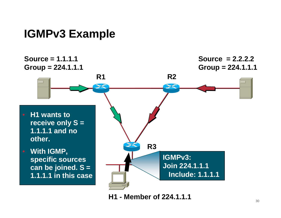#### **IGMPv3 Example**



**H1 - Member of 224.1.1.1**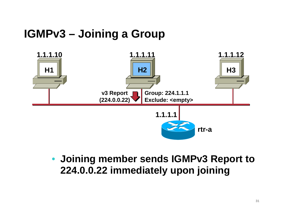## **IGMPv3 – Joining a Group**



• **Joining member sends IGMPv3 Report to 224.0.0.22 immediately upon joining**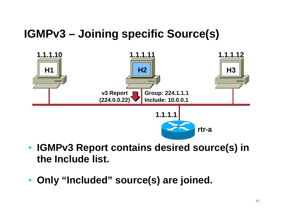## **IGMPv3 – Joining specific Source(s)**



- $\bullet$  **IGMPv3 Report contains desired source(s) in the Include list.**
- **Only "Included" source(s) are joined.**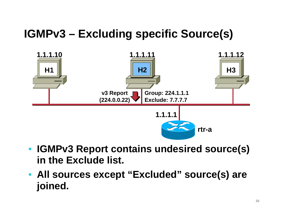## **IGMPv3 – Excluding specific Source(s)**



- **IGMPv3 Report contains undesired source(s) in the Exclude list.**
- **All sources except "Excluded" source(s) are joined.**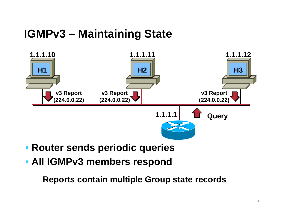#### **IGMPv3 – Maintaining State**



- **Router sends periodic queries**
- **All IGMPv3 members respond**
	- **Holland** Company **Reports contain multiple Group state records**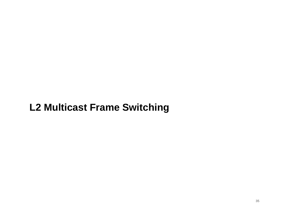#### **L2 Multicast Frame Switching**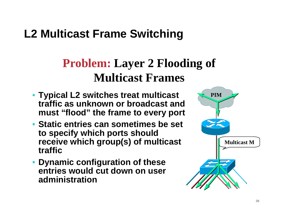## **L2 Multicast Frame Switching**

# **Problem: Layer 2 Flooding of Multicast Frames**

- **Typical L2 switches treat multicast traffic as unknown or broadcast and must "flood" the frame to every port**
- **Static entries can sometimes be set to specify which ports should receive which group(s) of multicast traffic**
- • **Dynamic configuration of these entries would cut down on user administration**

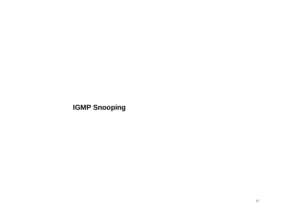#### **IGMP Snooping**